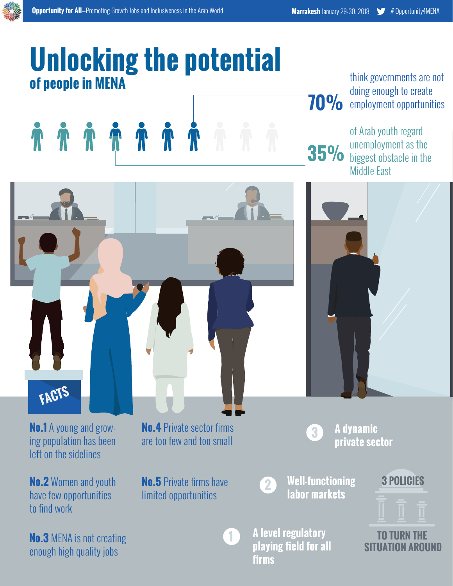## **Unlocking the potential of people in MENA**



**70%** think governments are not doing enough to create employment opportunities

**35%** of Arab youth regard unemployment as the biggest obstacle in the Middle East



**A dynamic** 

**labor markets <sup>2</sup>**

**Well-functioning** 

**A level regulatory playing field for all firms**



**TO TURN THE SITUATION AROUND**

**ho.1** A young and grow-**No.4** Private sector firms<br>ing population has been are too few and too small left on the sidelines

**No.2** Women and youth have few opportunities to find work

**No.3** MENA is not creating enough high quality jobs

**No.5** Private firms have limited opportunities

are too few and too small

**1**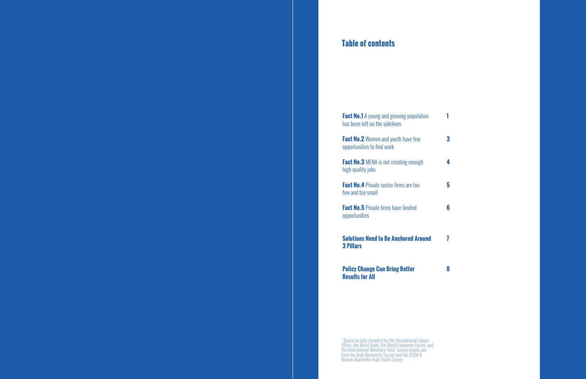#### **Table of contents**

**Fact No.1** A young and growing population has been left on the sidelines

**Fact No.2** Women and youth have few opportunities to find work

**Fact No.3** MENA is not creating enough high quality jobs

**Fact No.4** Private sector firms are too few and too small

**Fact No.5** Private firms have limited opportunities

- **1**
- **3 4**
- **5**
- **6**
- **7**
- **8**
- **3**
- 
- 

**Solutions Need to Be Anchored Around 3 Pillars** 

**Policy Change Can Bring Better Results for All**

\* Based on data compiled by the International Labour Office, the World Bank, the World Economic Forum, and the International Monetary Fund. Survey results are from the Arab Barometer Survey and the ASDA'A Burson-Marsteller Arab Youth Survey.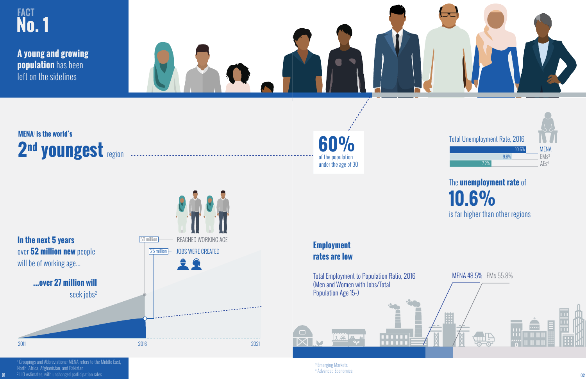

<sup>3</sup> Emerging Markets<br><sup>4</sup> Advanced Economies

(Men and Women with Jobs/Total Population Age 15+)



 $40$ 

 Groupings and Abbreviations: MENA refers to the Middle East, North Africa, Afghanistan, and Pakistan ILO estimates, with unchanged participation rates 2016 2021

**...over 27 million will**

seek jobs2

will be of working age...

01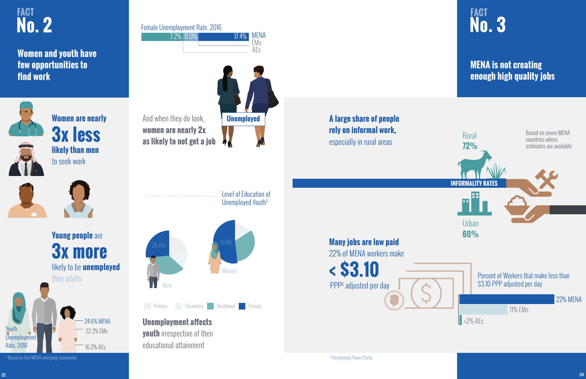**Women and youth have few opportunities to find work** 



**Women are nearly 3x less likely than men** to seek work





And when they do look, **women are nearly 2x as likely to not get a job**



Female Unemployment Rate, 2016

**Young people** are **3x more** likely to be **unemployed** than adults 24.6% MENA 22.3% EMs 16.2% AEs Youth Unemployment Rate, 2016

| 7.2% 11.0% | $17.4\%$ | MENA       |
|------------|----------|------------|
|            |          | <b>FMs</b> |



**Unemployment affects youth** irrespective of their educational attainment

5 Based on five MENA emerging economies

## **MENA is not creating enough high quality jobs**

**A large share of people rely on informal work,**  especially in rural areas



**Many jobs are low paid** 22% of MENA workers make **< \$3.10**  PPP6 adjusted per day

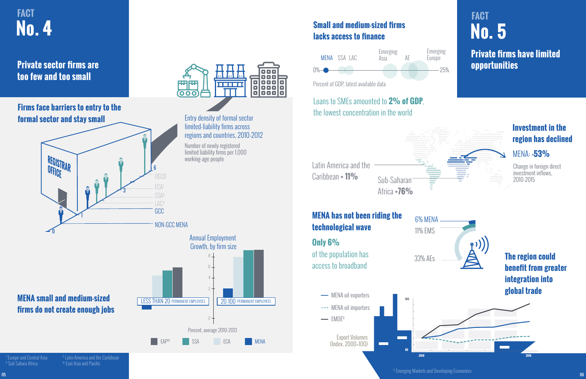## **Private firms have limited opportunities**



## **No. 5 FACT**

## **Small and medium-sized firms lacks access to finance**

Latin America and the Caribbean **+ 11%** Sub-Saharan

## Loans to SMEs amounted to **2% of GDP**, the lowest concentration in the world

Percent of GDP, latest available data



Emerging Europe

## **Investment in the region has declined**

### MENA: **-53%**

## Annual Employment Growth, by firm size Percent, average 2010-2013 EAP<sup>10</sup> SSA ECA **IMENA** 6 4 2 -2 8 LESS THAN 20 PERMANENT EMPLOYEES | 20-100 PERMANENT EMPLOYEES

Africa **+76%**

Change in foreign direct investment inflows, 2010-2015

## **MENA has not been riding the technological wave Only 6%**

of the population has access to broadband

 $\longrightarrow$  EMDE<sup>11</sup>

6% MENA



**Private sector firms are too few and too small** 

### **Firms face barriers to entry to the formal sector and stay small**

**MENA small and medium-sized firms do not create enough jobs** 

 Europe and Central Asia 8 Sub Sahara Africa

<sup>9</sup> Latin America and the Caribbean-<sup>10</sup> East Asia and Pacific

## **No. 4 FACT**



Entry density of formal sector

000

n na m

88 Q

000

000

000

o

 $\blacksquare$ 

 $\overline{a}$ 

05